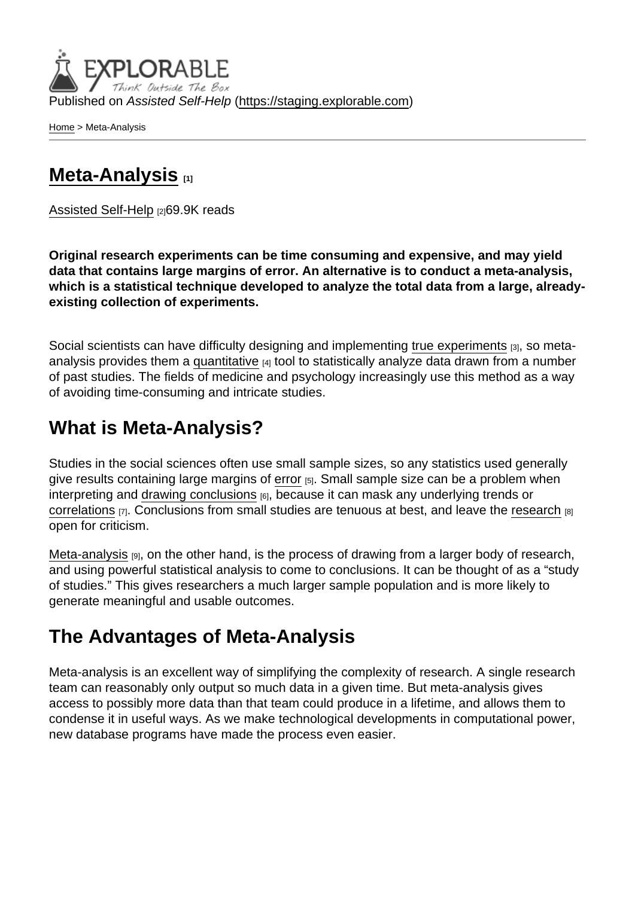Published on Assisted Self-Help [\(https://staging.explorable.com](https://staging.explorable.com))

[Home](https://staging.explorable.com/en) > Meta-Analysis

## [Meta-Analysis](https://staging.explorable.com/en/meta-analysis) [1]

[Assisted Self-Help](https://staging.explorable.com/en) [2]69.9K reads

Original research experiments can be time consuming and expensive, and may yield data that contains large margins of error. An alternative is to conduct a meta-analysis, which is a statistical technique developed to analyze the total data from a large, alreadyexisting collection of experiments.

Social scientists can have difficulty designing and implementing [true experiments](https://explorable.com/true-experimental-design) [3], so metaanalysis provides them a [quantitative](https://explorable.com/quantitative-research-design) [4] tool to statistically analyze data drawn from a number of past studies. The fields of medicine and psychology increasingly use this method as a way of avoiding time-consuming and intricate studies.

## What is Meta-Analysis?

Studies in the social sciences often use small sample sizes, so any statistics used generally give results containing large margins of [error](https://explorable.com/type-I-error) [5]. Small sample size can be a problem when interpreting and [drawing conclusions](https://explorable.com/drawing-conclusions) [6], because it can mask any underlying trends or [correlations](https://explorable.com/correlation-and-causation) [7]. Conclusions from small studies are tenuous at best, and leave the [research](https://explorable.com/what-is-research) [8] open for criticism.

[Meta-analysis](http://en.wikipedia.org/wiki/Meta-analysis)  $[9]$ , on the other hand, is the process of drawing from a larger body of research, and using powerful statistical analysis to come to conclusions. It can be thought of as a "study of studies." This gives researchers a much larger sample population and is more likely to generate meaningful and usable outcomes.

## The Advantages of Meta-Analysis

Meta-analysis is an excellent way of simplifying the complexity of research. A single research team can reasonably only output so much data in a given time. But meta-analysis gives access to possibly more data than that team could produce in a lifetime, and allows them to condense it in useful ways. As we make technological developments in computational power, new database programs have made the process even easier.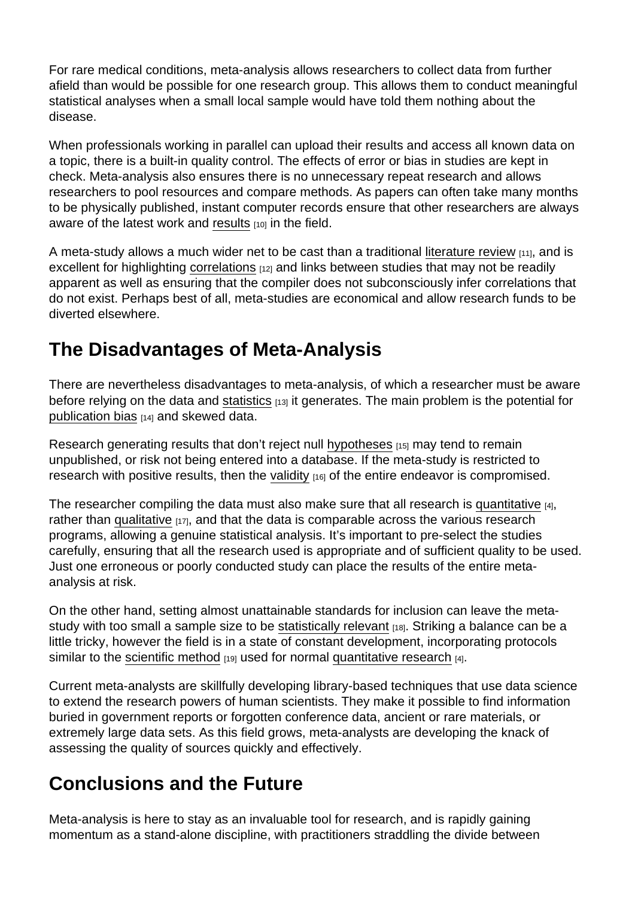For rare medical conditions, meta-analysis allows researchers to collect data from further afield than would be possible for one research group. This allows them to conduct meaningful statistical analyses when a small local sample would have told them nothing about the disease.

When professionals working in parallel can upload their results and access all known data on a topic, there is a built-in quality control. The effects of error or bias in studies are kept in check. Meta-analysis also ensures there is no unnecessary repeat research and allows researchers to pool resources and compare methods. As papers can often take many months to be physically published, instant computer records ensure that other researchers are always aware of the latest work and [results](https://explorable.com/statistically-significant-results)  $[10]$  in the field.

A meta-study allows a much wider net to be cast than a traditional [literature review](https://explorable.com/what-is-a-literature-review) [11], and is excellent for highlighting [correlations](https://explorable.com/statistical-correlation) [12] and links between studies that may not be readily apparent as well as ensuring that the compiler does not subconsciously infer correlations that do not exist. Perhaps best of all, meta-studies are economical and allow research funds to be diverted elsewhere.

# The Disadvantages of Meta-Analysis

There are nevertheless disadvantages to meta-analysis, of which a researcher must be aware before relying on the data and [statistics](https://explorable.com/statistics-tutorial) [13] it generates. The main problem is the potential for [publication bias](https://explorable.com/publication-bias) [14] and skewed data.

Research generating results that don't reject null [hypotheses](https://explorable.com/research-hypothesis) [15] may tend to remain unpublished, or risk not being entered into a database. If the meta-study is restricted to research with positive results, then the [validity](https://explorable.com/types-of-validity)  $[16]$  of the entire endeavor is compromised.

The researcher compiling the data must also make sure that all research is [quantitative](https://explorable.com/quantitative-research-design)  $\alpha$ , rather than [qualitative](https://explorable.com/qualitative-research-design)  $[17]$ , and that the data is comparable across the various research programs, allowing a genuine statistical analysis. It's important to pre-select the studies carefully, ensuring that all the research used is appropriate and of sufficient quality to be used. Just one erroneous or poorly conducted study can place the results of the entire metaanalysis at risk.

On the other hand, setting almost unattainable standards for inclusion can leave the metastudy with too small a sample size to be [statistically relevant](https://explorable.com/significance-test) [18]. Striking a balance can be a little tricky, however the field is in a state of constant development, incorporating protocols similar to the [scientific method](https://explorable.com/what-is-the-scientific-method)  $_{[19]}$  used for normal [quantitative research](https://explorable.com/quantitative-research-design)  $_{[4]}$ .

Current meta-analysts are skillfully developing library-based techniques that use data science to extend the research powers of human scientists. They make it possible to find information buried in government reports or forgotten conference data, ancient or rare materials, or extremely large data sets. As this field grows, meta-analysts are developing the knack of assessing the quality of sources quickly and effectively.

## Conclusions and the Future

Meta-analysis is here to stay as an invaluable tool for research, and is rapidly gaining momentum as a stand-alone discipline, with practitioners straddling the divide between